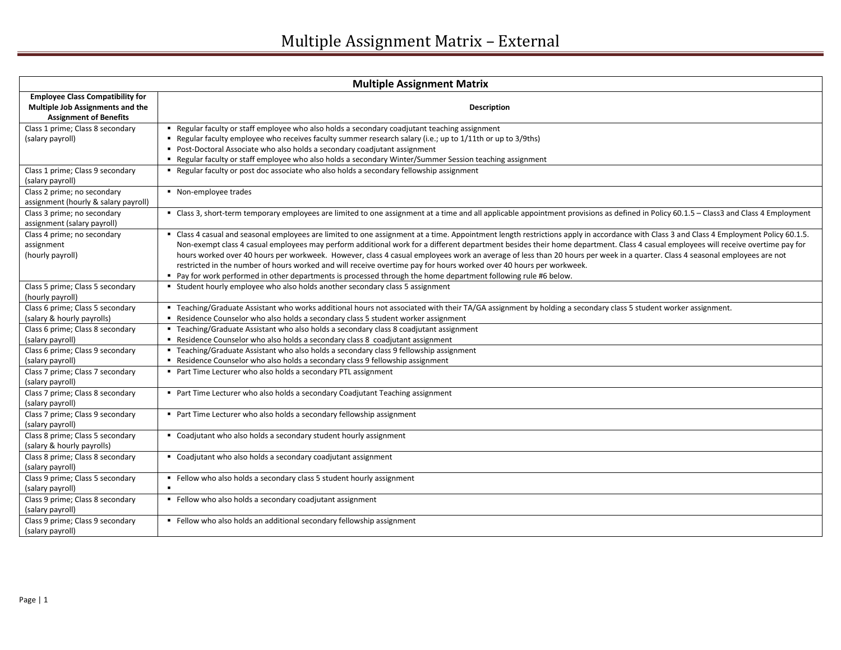| <b>Multiple Assignment Matrix</b>                                                                            |                                                                                                                                                                                                                                                                                                                                                                                                                                                                                                                                                                                                                                                                                                                                                                                                     |
|--------------------------------------------------------------------------------------------------------------|-----------------------------------------------------------------------------------------------------------------------------------------------------------------------------------------------------------------------------------------------------------------------------------------------------------------------------------------------------------------------------------------------------------------------------------------------------------------------------------------------------------------------------------------------------------------------------------------------------------------------------------------------------------------------------------------------------------------------------------------------------------------------------------------------------|
| <b>Employee Class Compatibility for</b><br>Multiple Job Assignments and the<br><b>Assignment of Benefits</b> | <b>Description</b>                                                                                                                                                                                                                                                                                                                                                                                                                                                                                                                                                                                                                                                                                                                                                                                  |
| Class 1 prime; Class 8 secondary<br>(salary payroll)                                                         | • Regular faculty or staff employee who also holds a secondary coadjutant teaching assignment<br>Regular faculty employee who receives faculty summer research salary (i.e.; up to 1/11th or up to 3/9ths)<br>Post-Doctoral Associate who also holds a secondary coadjutant assignment<br>" Regular faculty or staff employee who also holds a secondary Winter/Summer Session teaching assignment                                                                                                                                                                                                                                                                                                                                                                                                  |
| Class 1 prime; Class 9 secondary<br>(salary payroll)                                                         | " Regular faculty or post doc associate who also holds a secondary fellowship assignment                                                                                                                                                                                                                                                                                                                                                                                                                                                                                                                                                                                                                                                                                                            |
| Class 2 prime; no secondary<br>assignment (hourly & salary payroll)                                          | • Non-employee trades                                                                                                                                                                                                                                                                                                                                                                                                                                                                                                                                                                                                                                                                                                                                                                               |
| Class 3 prime; no secondary<br>assignment (salary payroll)                                                   | " Class 3, short-term temporary employees are limited to one assignment at a time and all applicable appointment provisions as defined in Policy 60.1.5 - Class3 and Class 4 Employment                                                                                                                                                                                                                                                                                                                                                                                                                                                                                                                                                                                                             |
| Class 4 prime; no secondary<br>assignment<br>(hourly payroll)                                                | " Class 4 casual and seasonal employees are limited to one assignment at a time. Appointment length restrictions apply in accordance with Class 3 and Class 4 Employment Policy 60.1.5.<br>Non-exempt class 4 casual employees may perform additional work for a different department besides their home department. Class 4 casual employees will receive overtime pay for<br>hours worked over 40 hours per workweek. However, class 4 casual employees work an average of less than 20 hours per week in a quarter. Class 4 seasonal employees are not<br>restricted in the number of hours worked and will receive overtime pay for hours worked over 40 hours per workweek.<br>• Pay for work performed in other departments is processed through the home department following rule #6 below. |
| Class 5 prime; Class 5 secondary<br>(hourly payroll)                                                         | " Student hourly employee who also holds another secondary class 5 assignment                                                                                                                                                                                                                                                                                                                                                                                                                                                                                                                                                                                                                                                                                                                       |
| Class 6 prime; Class 5 secondary<br>(salary & hourly payrolls)                                               | ■ Teaching/Graduate Assistant who works additional hours not associated with their TA/GA assignment by holding a secondary class 5 student worker assignment.<br>" Residence Counselor who also holds a secondary class 5 student worker assignment                                                                                                                                                                                                                                                                                                                                                                                                                                                                                                                                                 |
| Class 6 prime; Class 8 secondary<br>(salary payroll)                                                         | " Teaching/Graduate Assistant who also holds a secondary class 8 coadjutant assignment<br>Residence Counselor who also holds a secondary class 8 coadjutant assignment                                                                                                                                                                                                                                                                                                                                                                                                                                                                                                                                                                                                                              |
| Class 6 prime; Class 9 secondary<br>(salary payroll)                                                         | " Teaching/Graduate Assistant who also holds a secondary class 9 fellowship assignment<br>Residence Counselor who also holds a secondary class 9 fellowship assignment                                                                                                                                                                                                                                                                                                                                                                                                                                                                                                                                                                                                                              |
| Class 7 prime; Class 7 secondary<br>(salary payroll)                                                         | Part Time Lecturer who also holds a secondary PTL assignment                                                                                                                                                                                                                                                                                                                                                                                                                                                                                                                                                                                                                                                                                                                                        |
| Class 7 prime; Class 8 secondary<br>(salary payroll)                                                         | Part Time Lecturer who also holds a secondary Coadjutant Teaching assignment                                                                                                                                                                                                                                                                                                                                                                                                                                                                                                                                                                                                                                                                                                                        |
| Class 7 prime; Class 9 secondary<br>(salary payroll)                                                         | Part Time Lecturer who also holds a secondary fellowship assignment                                                                                                                                                                                                                                                                                                                                                                                                                                                                                                                                                                                                                                                                                                                                 |
| Class 8 prime; Class 5 secondary<br>(salary & hourly payrolls)                                               | • Coadjutant who also holds a secondary student hourly assignment                                                                                                                                                                                                                                                                                                                                                                                                                                                                                                                                                                                                                                                                                                                                   |
| Class 8 prime; Class 8 secondary<br>(salary payroll)                                                         | • Coadjutant who also holds a secondary coadjutant assignment                                                                                                                                                                                                                                                                                                                                                                                                                                                                                                                                                                                                                                                                                                                                       |
| Class 9 prime; Class 5 secondary<br>(salary payroll)                                                         | Fellow who also holds a secondary class 5 student hourly assignment<br>$\blacksquare$                                                                                                                                                                                                                                                                                                                                                                                                                                                                                                                                                                                                                                                                                                               |
| Class 9 prime; Class 8 secondary<br>(salary payroll)                                                         | Fellow who also holds a secondary coadjutant assignment                                                                                                                                                                                                                                                                                                                                                                                                                                                                                                                                                                                                                                                                                                                                             |
| Class 9 prime; Class 9 secondary<br>(salary payroll)                                                         | Fellow who also holds an additional secondary fellowship assignment                                                                                                                                                                                                                                                                                                                                                                                                                                                                                                                                                                                                                                                                                                                                 |